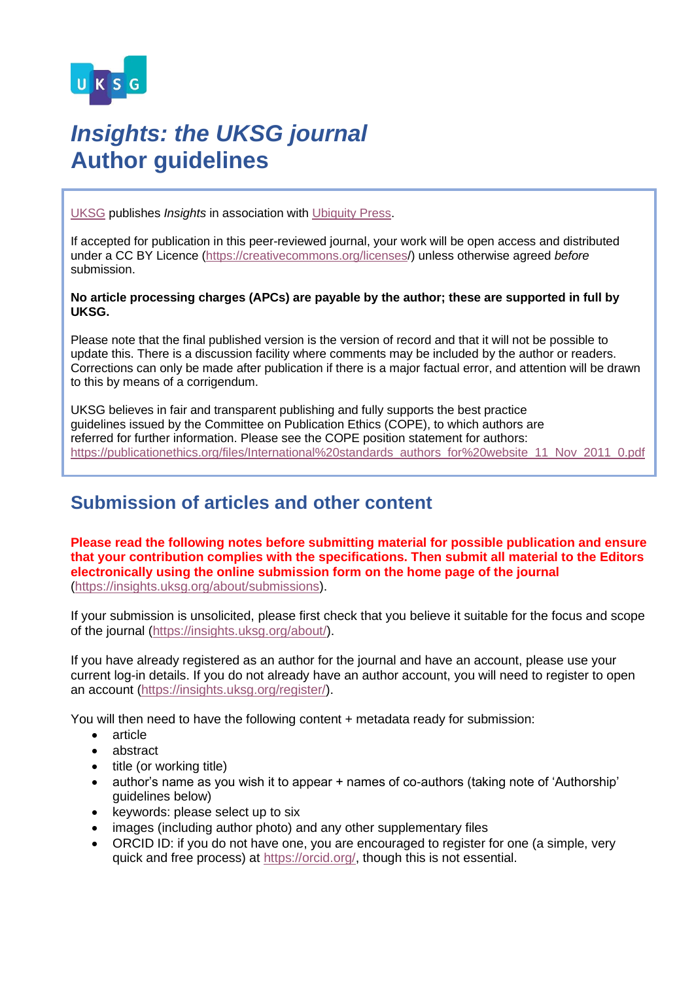

# *Insights: the UKSG journal* **Author guidelines**

[UKSG](https://www.uksg.org/) publishes *Insights* in association with [Ubiquity Press.](https://www.ubiquitypress.com/)

If accepted for publication in this peer-reviewed journal, your work will be open access and distributed under a CC BY Licence [\(https://creativecommons.org/licenses/](https://creativecommons.org/licenses)) unless otherwise agreed *before*  submission.

#### **No article processing charges (APCs) are payable by the author; these are supported in full by UKSG.**

Please note that the final published version is the version of record and that it will not be possible to update this. There is a discussion facility where comments may be included by the author or readers. Corrections can only be made after publication if there is a major factual error, and attention will be drawn to this by means of a corrigendum.

UKSG believes in fair and transparent publishing and fully supports the best practice guidelines issued by the Committee on Publication Ethics (COPE), to which authors are referred for further information. Please see the COPE position statement for authors: [https://publicationethics.org/files/International%20standards\\_authors\\_for%20website\\_11\\_Nov\\_2011\\_0.pdf](https://publicationethics.org/files/International%20standards_authors_for%20website_11_Nov_2011_0.pdf)

# **Submission of articles and other content**

**Please read the following notes before submitting material for possible publication and ensure that your contribution complies with the specifications. Then submit all material to the Editors electronically using the online submission form on the home page of the journal** [\(https://insights.uksg.org/about/submissions\)](https://insights.uksg.org/about/submissions).

If your submission is unsolicited, please first check that you believe it suitable for the focus and scope of the journal [\(https://insights.uksg.org/about/\)](https://insights.uksg.org/about/).

If you have already registered as an author for the journal and have an account, please use your current log-in details. If you do not already have an author account, you will need to register to open an account [\(https://insights.uksg.org/register/\)](https://insights.uksg.org/register/).

You will then need to have the following content + metadata ready for submission:

- article
- abstract
- title (or working title)
- author's name as you wish it to appear + names of co-authors (taking note of 'Authorship' guidelines below)
- keywords: please select up to six
- images (including author photo) and any other supplementary files
- ORCID ID: if you do not have one, you are encouraged to register for one (a simple, very quick and free process) at [https://orcid.org/,](https://orcid.org/) though this is not essential.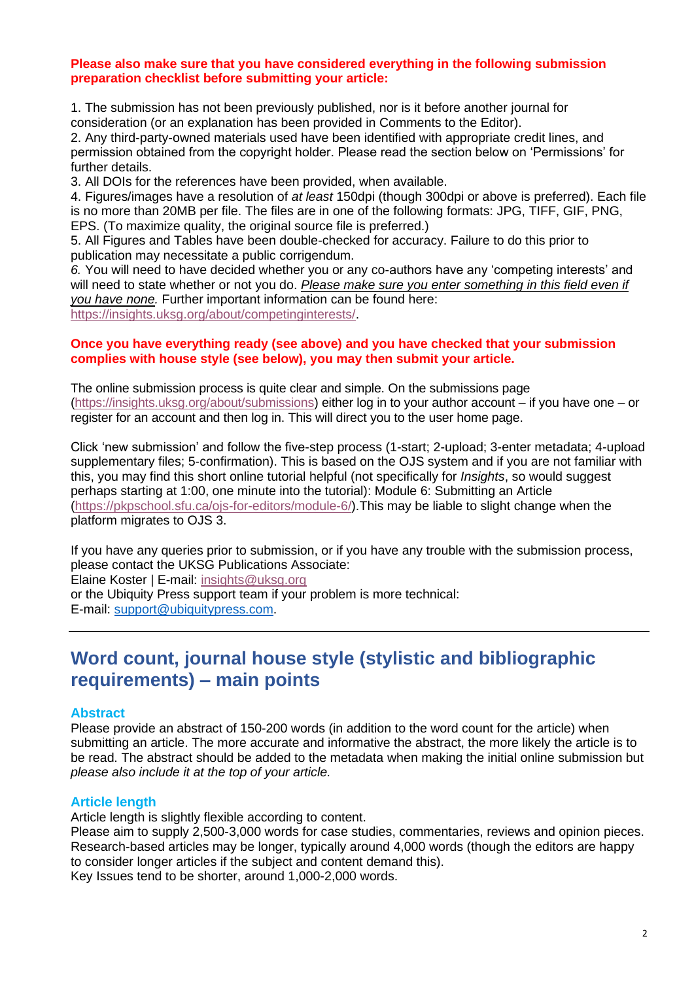# **Please also make sure that you have considered everything in the following submission preparation checklist before submitting your article:**

1. The submission has not been previously published, nor is it before another journal for consideration (or an explanation has been provided in Comments to the Editor).

2. Any third-party-owned materials used have been identified with appropriate credit lines, and permission obtained from the copyright holder. Please read the section below on 'Permissions' for further details.

3. All DOIs for the references have been provided, when available.

4. Figures/images have a resolution of *at least* 150dpi (though 300dpi or above is preferred). Each file is no more than 20MB per file. The files are in one of the following formats: JPG, TIFF, GIF, PNG, EPS. (To maximize quality, the original source file is preferred.)

5. All Figures and Tables have been double-checked for accuracy. Failure to do this prior to publication may necessitate a public corrigendum.

*6.* You will need to have decided whether you or any co-authors have any 'competing interests' and will need to state whether or not you do. *Please make sure you enter something in this field even if you have none.* Further important information can be found here: [https://insights.uksg.org/about/competinginterests/.](https://insights.uksg.org/about/competinginterests/)

# **Once you have everything ready (see above) and you have checked that your submission complies with house style (see below), you may then submit your article.**

The online submission process is quite clear and simple. On the submissions page [\(https://insights.uksg.org/about/submissions\)](https://insights.uksg.org/about/submissions) either log in to your author account – if you have one – or register for an account and then log in. This will direct you to the user home page.

Click 'new submission' and follow the five-step process (1-start; 2-upload; 3-enter metadata; 4-upload supplementary files; 5-confirmation). This is based on the OJS system and if you are not familiar with this, you may find this short online tutorial helpful (not specifically for *Insights*, so would suggest perhaps starting at 1:00, one minute into the tutorial): Module 6: Submitting an Article [\(https://pkpschool.sfu.ca/ojs-for-editors/module-6/\)](https://pkpschool.sfu.ca/ojs-for-editors/module-6/).This may be liable to slight change when the platform migrates to OJS 3.

If you have any queries prior to submission, or if you have any trouble with the submission process, please contact the UKSG Publications Associate:

Elaine Koster | E-mail: [insights@uksg.org](mailto:insights@uksg.org)

or the Ubiquity Press support team if your problem is more technical: E-mail: [support@ubiquitypress.com.](mailto:support@ubiquitypress.com)

# **Word count, journal house style (stylistic and bibliographic requirements) – main points**

# **Abstract**

Please provide an abstract of 150-200 words (in addition to the word count for the article) when submitting an article. The more accurate and informative the abstract, the more likely the article is to be read. The abstract should be added to the metadata when making the initial online submission but *please also include it at the top of your article.* 

# **Article length**

Article length is slightly flexible according to content.

Please aim to supply 2,500-3,000 words for case studies, commentaries, reviews and opinion pieces. Research-based articles may be longer, typically around 4,000 words (though the editors are happy to consider longer articles if the subject and content demand this). Key Issues tend to be shorter, around 1,000-2,000 words.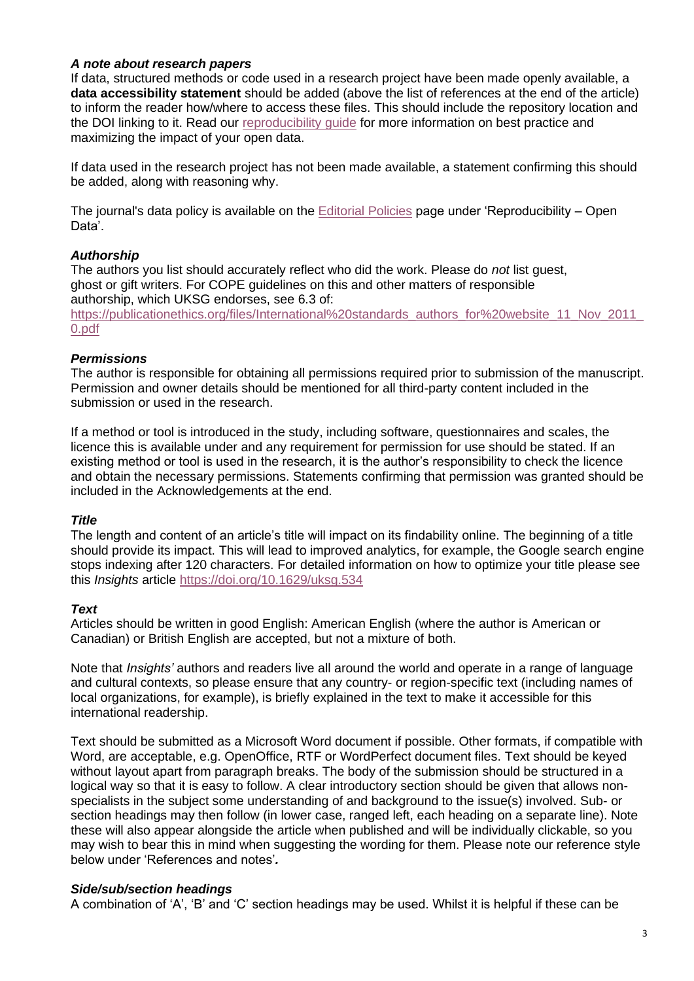# *A note about research papers*

If data, structured methods or code used in a research project have been made openly available, a **data accessibility statement** should be added (above the list of references at the end of the article) to inform the reader how/where to access these files. This should include the repository location and the DOI linking to it. Read our [reproducibility guide](https://insights.uksg.org/about/editorialpolicies/#reproducibility) for more information on best practice and maximizing the impact of your open data.

If data used in the research project has not been made available, a statement confirming this should be added, along with reasoning why.

The journal's data policy is available on the [Editorial Policies](https://insights.uksg.org/about/editorialpolicies/) page under 'Reproducibility – Open Data'.

# *Authorship*

The authors you list should accurately reflect who did the work. Please do *not* list guest, ghost or gift writers. For COPE guidelines on this and other matters of responsible authorship, which UKSG endorses, see 6.3 of: https://publicationethics.org/files/International%20standards\_authors\_for%20website\_11\_Nov\_2011 [0.pdf](https://publicationethics.org/files/International%20standards_authors_for%20website_11_Nov_2011_0.pdf) 

# *Permissions*

The author is responsible for obtaining all permissions required prior to submission of the manuscript. Permission and owner details should be mentioned for all third-party content included in the submission or used in the research.

If a method or tool is introduced in the study, including software, questionnaires and scales, the licence this is available under and any requirement for permission for use should be stated. If an existing method or tool is used in the research, it is the author's responsibility to check the licence and obtain the necessary permissions. Statements confirming that permission was granted should be included in the Acknowledgements at the end.

# *Title*

The length and content of an article's title will impact on its findability online. The beginning of a title should provide its impact. This will lead to improved analytics, for example, the Google search engine stops indexing after 120 characters. For detailed information on how to optimize your title please see this *Insights* article<https://doi.org/10.1629/uksg.534>

# *Text*

Articles should be written in good English: American English (where the author is American or Canadian) or British English are accepted, but not a mixture of both.

Note that *Insights'* authors and readers live all around the world and operate in a range of language and cultural contexts, so please ensure that any country- or region-specific text (including names of local organizations, for example), is briefly explained in the text to make it accessible for this international readership.

Text should be submitted as a Microsoft Word document if possible. Other formats, if compatible with Word, are acceptable, e.g. OpenOffice, RTF or WordPerfect document files. Text should be keyed without layout apart from paragraph breaks. The body of the submission should be structured in a logical way so that it is easy to follow. A clear introductory section should be given that allows nonspecialists in the subject some understanding of and background to the issue(s) involved. Sub- or section headings may then follow (in lower case, ranged left, each heading on a separate line). Note these will also appear alongside the article when published and will be individually clickable, so you may wish to bear this in mind when suggesting the wording for them. Please note our reference style below under 'References and notes'*.*

# *Side/sub/section headings*

A combination of 'A', 'B' and 'C' section headings may be used. Whilst it is helpful if these can be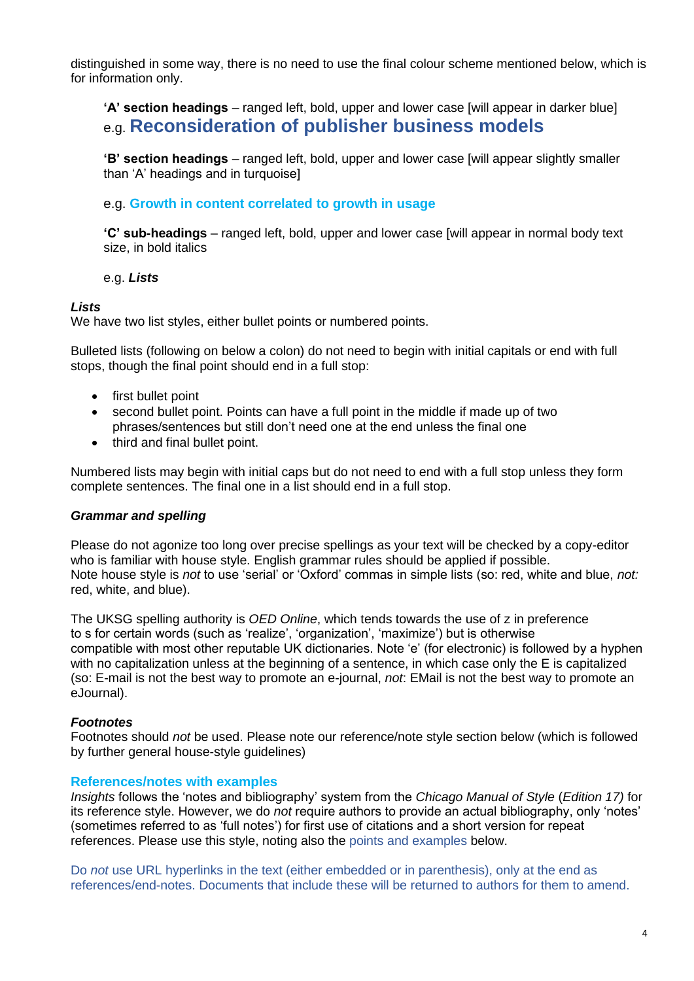distinguished in some way, there is no need to use the final colour scheme mentioned below, which is for information only.

**'A' section headings** – ranged left, bold, upper and lower case [will appear in darker blue] e.g. **Reconsideration of publisher business models**

**'B' section headings** – ranged left, bold, upper and lower case [will appear slightly smaller than 'A' headings and in turquoise]

e.g. **Growth in content correlated to growth in usage**

**'C' sub-headings** – ranged left, bold, upper and lower case [will appear in normal body text size, in bold italics

e.g. *Lists*

# *Lists*

We have two list styles, either bullet points or numbered points.

Bulleted lists (following on below a colon) do not need to begin with initial capitals or end with full stops, though the final point should end in a full stop:

- first bullet point
- second bullet point. Points can have a full point in the middle if made up of two phrases/sentences but still don't need one at the end unless the final one
- third and final bullet point.

Numbered lists may begin with initial caps but do not need to end with a full stop unless they form complete sentences. The final one in a list should end in a full stop.

# *Grammar and spelling*

Please do not agonize too long over precise spellings as your text will be checked by a copy-editor who is familiar with house style. English grammar rules should be applied if possible. Note house style is *not* to use 'serial' or 'Oxford' commas in simple lists (so: red, white and blue, *not:*  red, white, and blue).

The UKSG spelling authority is *OED Online*, which tends towards the use of z in preference to s for certain words (such as 'realize', 'organization', 'maximize') but is otherwise compatible with most other reputable UK dictionaries. Note 'e' (for electronic) is followed by a hyphen with no capitalization unless at the beginning of a sentence, in which case only the E is capitalized (so: E-mail is not the best way to promote an e-journal, *not*: EMail is not the best way to promote an eJournal).

# *Footnotes*

Footnotes should *not* be used. Please note our reference/note style section below (which is followed by further general house-style guidelines)

# **References/notes with examples**

*Insights* follows the 'notes and bibliography' system from the *Chicago Manual of Style* (*Edition 17)* for its reference style. However, we do *not* require authors to provide an actual bibliography, only 'notes' (sometimes referred to as 'full notes') for first use of citations and a short version for repeat references. Please use this style, noting also the points and examples below.

Do *not* use URL hyperlinks in the text (either embedded or in parenthesis), only at the end as references/end-notes. Documents that include these will be returned to authors for them to amend.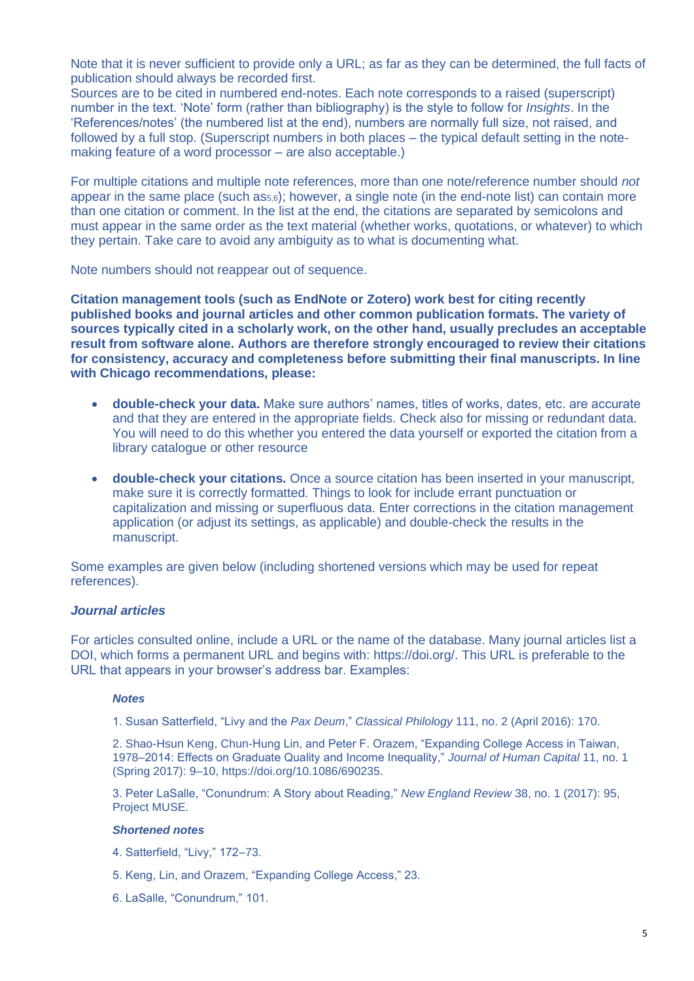Note that it is never sufficient to provide only a URL; as far as they can be determined, the full facts of publication should always be recorded first.

Sources are to be cited in numbered end-notes. Each note corresponds to a raised (superscript) number in the text. 'Note' form (rather than bibliography) is the style to follow for *Insights*. In the 'References/notes' (the numbered list at the end), numbers are normally full size, not raised, and followed by a full stop. (Superscript numbers in both places – the typical default setting in the notemaking feature of a word processor – are also acceptable.)

For multiple citations and multiple note references, more than one note/reference number should *not*  appear in the same place (such as5,6); however, a single note (in the end-note list) can contain more than one citation or comment. In the list at the end, the citations are separated by semicolons and must appear in the same order as the text material (whether works, quotations, or whatever) to which they pertain. Take care to avoid any ambiguity as to what is documenting what.

Note numbers should not reappear out of sequence.

**Citation management tools (such as EndNote or Zotero) work best for citing recently published books and journal articles and other common publication formats. The variety of sources typically cited in a scholarly work, on the other hand, usually precludes an acceptable result from software alone. Authors are therefore strongly encouraged to review their citations for consistency, accuracy and completeness before submitting their final manuscripts. In line with Chicago recommendations, please:** 

- **double-check your data.** Make sure authors' names, titles of works, dates, etc. are accurate and that they are entered in the appropriate fields. Check also for missing or redundant data. You will need to do this whether you entered the data yourself or exported the citation from a library catalogue or other resource
- **double-check your citations.** Once a source citation has been inserted in your manuscript, make sure it is correctly formatted. Things to look for include errant punctuation or capitalization and missing or superfluous data. Enter corrections in the citation management application (or adjust its settings, as applicable) and double-check the results in the manuscript.

Some examples are given below (including shortened versions which may be used for repeat references).

# *Journal articles*

For articles consulted online, include a URL or the name of the database. Many journal articles list a DOI, which forms a permanent URL and begins with: https://doi.org/. This URL is preferable to the URL that appears in your browser's address bar. Examples:

#### *Notes*

1. Susan Satterfield, "Livy and the *Pax Deum*," *Classical Philology* 111, no. 2 (April 2016): 170.

2. Shao-Hsun Keng, Chun-Hung Lin, and Peter F. Orazem, "Expanding College Access in Taiwan, 1978–2014: Effects on Graduate Quality and Income Inequality," *Journal of Human Capital* 11, no. 1 (Spring 2017): 9–10, https://doi.org/10.1086/690235.

3. Peter LaSalle, "Conundrum: A Story about Reading," *New England Review* 38, no. 1 (2017): 95, Project MUSE.

#### *Shortened notes*

- 4. Satterfield, "Livy," 172–73.
- 5. Keng, Lin, and Orazem, "Expanding College Access," 23.
- 6. LaSalle, "Conundrum," 101.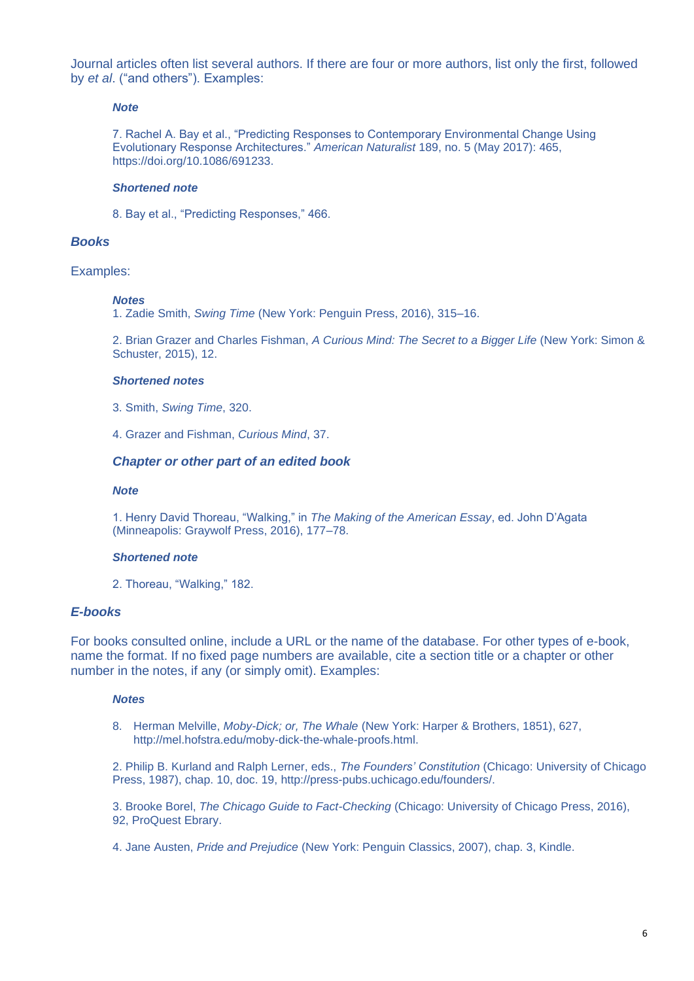Journal articles often list several authors. If there are four or more authors, list only the first, followed by *et al*. ("and others"). Examples:

#### *Note*

7. Rachel A. Bay et al., "Predicting Responses to Contemporary Environmental Change Using Evolutionary Response Architectures." *American Naturalist* 189, no. 5 (May 2017): 465, https://doi.org/10.1086/691233.

#### *Shortened note*

8. Bay et al., "Predicting Responses," 466.

#### *Books*

#### Examples:

#### *Notes*

1. Zadie Smith, *Swing Time* (New York: Penguin Press, 2016), 315–16.

2. Brian Grazer and Charles Fishman, *A Curious Mind: The Secret to a Bigger Life* (New York: Simon & Schuster, 2015), 12.

#### *Shortened notes*

3. Smith, *Swing Time*, 320.

4. Grazer and Fishman, *Curious Mind*, 37.

#### *Chapter or other part of an edited book*

#### *Note*

1. Henry David Thoreau, "Walking," in *The Making of the American Essay*, ed. John D'Agata (Minneapolis: Graywolf Press, 2016), 177–78.

#### *Shortened note*

2. Thoreau, "Walking," 182.

# *E-books*

For books consulted online, include a URL or the name of the database. For other types of e-book, name the format. If no fixed page numbers are available, cite a section title or a chapter or other number in the notes, if any (or simply omit). Examples:

#### *Notes*

8. Herman Melville, *Moby-Dick; or, The Whale* (New York: Harper & Brothers, 1851), 627, http://mel.hofstra.edu/moby-dick-the-whale-proofs.html.

2. Philip B. Kurland and Ralph Lerner, eds., *The Founders' Constitution* (Chicago: University of Chicago Press, 1987), chap. 10, doc. 19, http://press-pubs.uchicago.edu/founders/.

3. Brooke Borel, *The Chicago Guide to Fact-Checking* (Chicago: University of Chicago Press, 2016), 92, ProQuest Ebrary.

4. Jane Austen, *Pride and Prejudice* (New York: Penguin Classics, 2007), chap. 3, Kindle.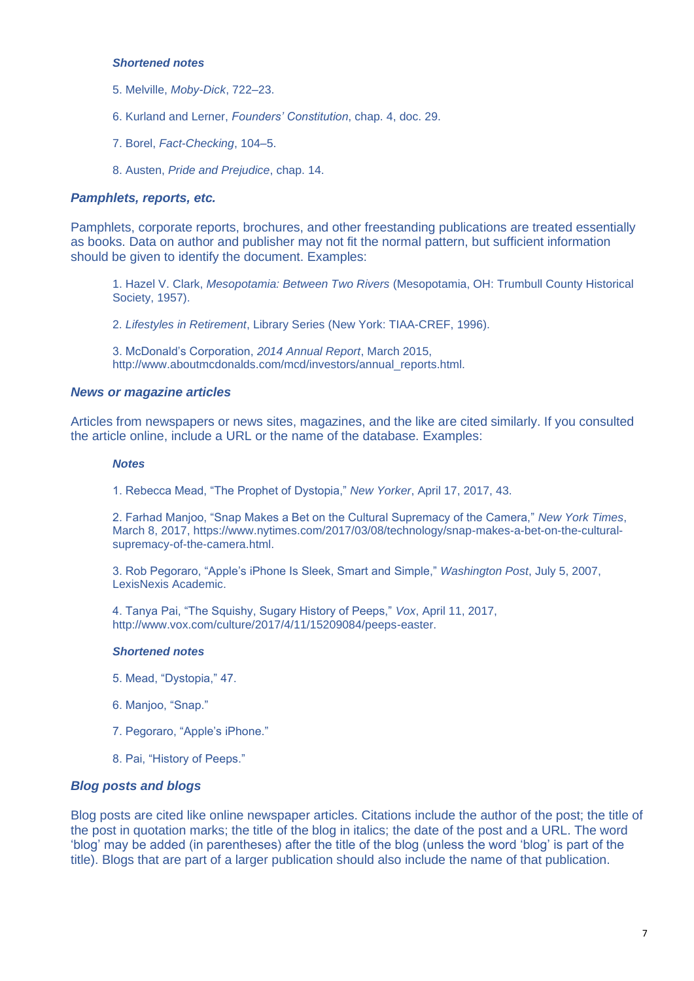#### *Shortened notes*

- 5. Melville, *Moby-Dick*, 722–23.
- 6. Kurland and Lerner, *Founders' Constitution*, chap. 4, doc. 29.
- 7. Borel, *Fact-Checking*, 104–5.

8. Austen, *Pride and Prejudice*, chap. 14.

#### *Pamphlets, reports, etc.*

Pamphlets, corporate reports, brochures, and other freestanding publications are treated essentially as books. Data on author and publisher may not fit the normal pattern, but sufficient information should be given to identify the document. Examples:

1. Hazel V. Clark, *Mesopotamia: Between Two Rivers* (Mesopotamia, OH: Trumbull County Historical Society, 1957).

2. *Lifestyles in Retirement*, Library Series (New York: TIAA-CREF, 1996).

3. McDonald's Corporation, *2014 Annual Report*, March 2015, http://www.aboutmcdonalds.com/mcd/investors/annual\_reports.html.

#### *News or magazine articles*

Articles from newspapers or news sites, magazines, and the like are cited similarly. If you consulted the article online, include a URL or the name of the database. Examples:

#### *Notes*

1. Rebecca Mead, "The Prophet of Dystopia," *New Yorker*, April 17, 2017, 43.

2. Farhad Manjoo, "Snap Makes a Bet on the Cultural Supremacy of the Camera," *New York Times*, March 8, 2017, https://www.nytimes.com/2017/03/08/technology/snap-makes-a-bet-on-the-culturalsupremacy-of-the-camera.html.

3. Rob Pegoraro, "Apple's iPhone Is Sleek, Smart and Simple," *Washington Post*, July 5, 2007, LexisNexis Academic.

4. Tanya Pai, "The Squishy, Sugary History of Peeps," *Vox*, April 11, 2017, http://www.vox.com/culture/2017/4/11/15209084/peeps-easter.

#### *Shortened notes*

- 5. Mead, "Dystopia," 47.
- 6. Manjoo, "Snap."
- 7. Pegoraro, "Apple's iPhone."
- 8. Pai, "History of Peeps."

#### *Blog posts and blogs*

Blog posts are cited like online newspaper articles. Citations include the author of the post; the title of the post in quotation marks; the title of the blog in italics; the date of the post and a URL. The word 'blog' may be added (in parentheses) after the title of the blog (unless the word 'blog' is part of the title). Blogs that are part of a larger publication should also include the name of that publication.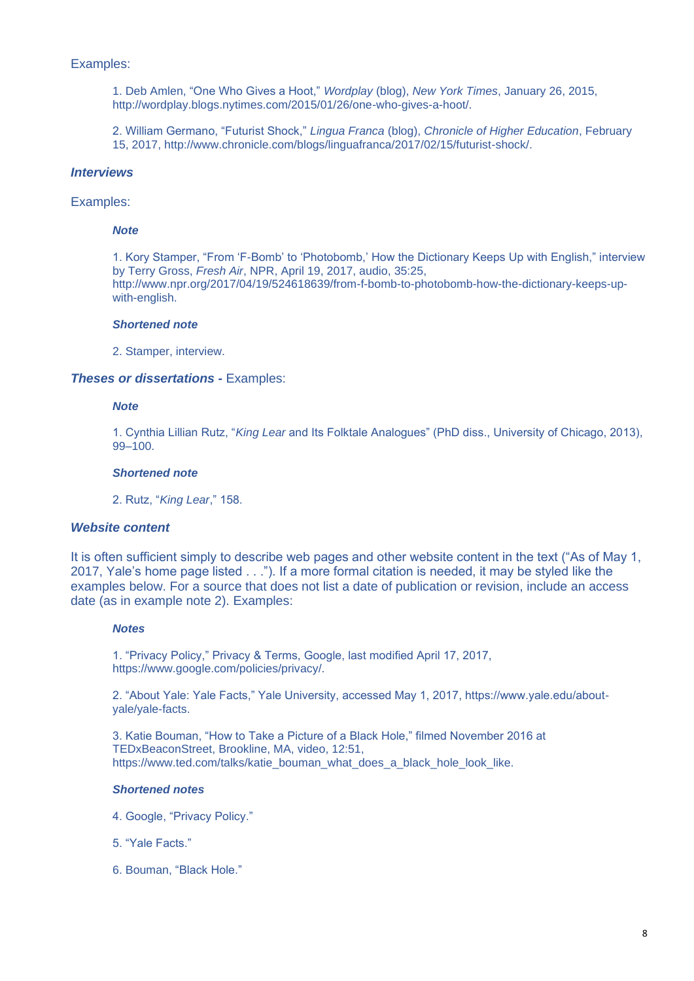#### Examples:

1. Deb Amlen, "One Who Gives a Hoot," *Wordplay* (blog), *New York Times*, January 26, 2015, http://wordplay.blogs.nytimes.com/2015/01/26/one-who-gives-a-hoot/.

2. William Germano, "Futurist Shock," *Lingua Franca* (blog), *Chronicle of Higher Education*, February 15, 2017, http://www.chronicle.com/blogs/linguafranca/2017/02/15/futurist-shock/.

#### *Interviews*

# Examples:

#### *Note*

1. Kory Stamper, "From 'F-Bomb' to 'Photobomb,' How the Dictionary Keeps Up with English," interview by Terry Gross, *Fresh Air*, NPR, April 19, 2017, audio, 35:25, http://www.npr.org/2017/04/19/524618639/from-f-bomb-to-photobomb-how-the-dictionary-keeps-upwith-english.

#### *Shortened note*

2. Stamper, interview.

#### *Theses or dissertations -* Examples:

#### *Note*

1. Cynthia Lillian Rutz, "*King Lear* and Its Folktale Analogues" (PhD diss., University of Chicago, 2013), 99–100.

#### *Shortened note*

2. Rutz, "*King Lear*," 158.

#### *Website content*

It is often sufficient simply to describe web pages and other website content in the text ("As of May 1, 2017, Yale's home page listed . . ."). If a more formal citation is needed, it may be styled like the examples below. For a source that does not list a date of publication or revision, include an access date (as in example note 2). Examples:

#### *Notes*

1. "Privacy Policy," Privacy & Terms, Google, last modified April 17, 2017, https://www.google.com/policies/privacy/.

2. "About Yale: Yale Facts," Yale University, accessed May 1, 2017, https://www.yale.edu/aboutyale/yale-facts.

3. Katie Bouman, "How to Take a Picture of a Black Hole," filmed November 2016 at TEDxBeaconStreet, Brookline, MA, video, 12:51, https://www.ted.com/talks/katie\_bouman\_what\_does\_a\_black\_hole\_look\_like.

#### *Shortened notes*

- 4. Google, "Privacy Policy."
- 5. "Yale Facts."
- 6. Bouman, "Black Hole."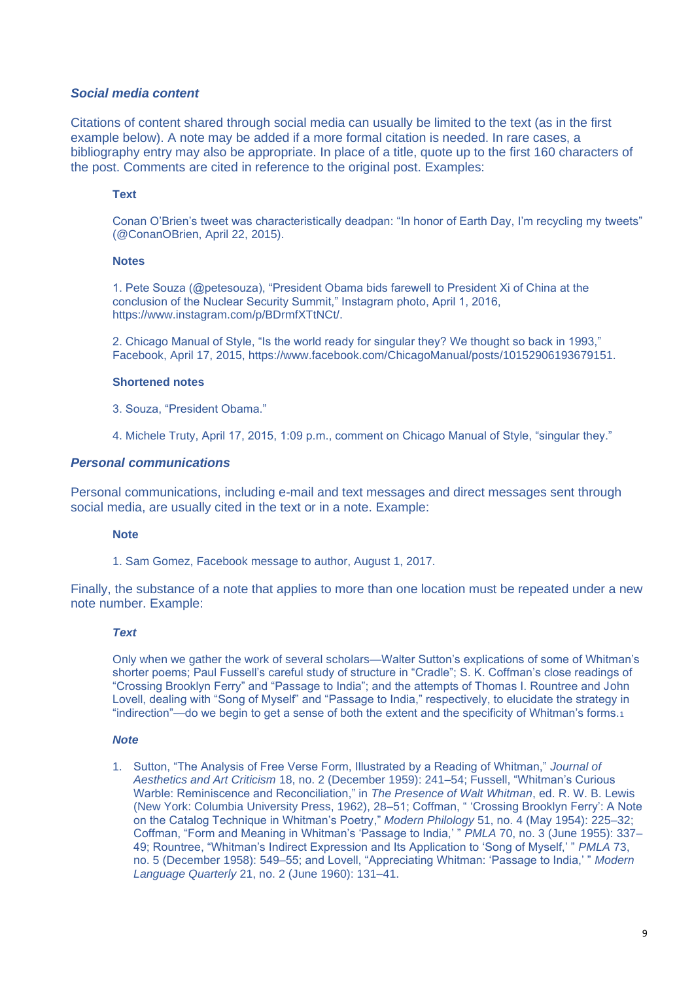#### *Social media content*

Citations of content shared through social media can usually be limited to the text (as in the first example below). A note may be added if a more formal citation is needed. In rare cases, a bibliography entry may also be appropriate. In place of a title, quote up to the first 160 characters of the post. Comments are cited in reference to the original post. Examples:

#### **Text**

Conan O'Brien's tweet was characteristically deadpan: "In honor of Earth Day, I'm recycling my tweets" (@ConanOBrien, April 22, 2015).

#### **Notes**

1. Pete Souza (@petesouza), "President Obama bids farewell to President Xi of China at the conclusion of the Nuclear Security Summit," Instagram photo, April 1, 2016, https://www.instagram.com/p/BDrmfXTtNCt/.

2. Chicago Manual of Style, "Is the world ready for singular they? We thought so back in 1993," Facebook, April 17, 2015, https://www.facebook.com/ChicagoManual/posts/10152906193679151.

#### **Shortened notes**

3. Souza, "President Obama."

4. Michele Truty, April 17, 2015, 1:09 p.m., comment on Chicago Manual of Style, "singular they."

#### *Personal communications*

Personal communications, including e-mail and text messages and direct messages sent through social media, are usually cited in the text or in a note. Example:

#### **Note**

1. Sam Gomez, Facebook message to author, August 1, 2017.

Finally, the substance of a note that applies to more than one location must be repeated under a new note number. Example:

#### *Text*

Only when we gather the work of several scholars—Walter Sutton's explications of some of Whitman's shorter poems; Paul Fussell's careful study of structure in "Cradle"; S. K. Coffman's close readings of "Crossing Brooklyn Ferry" and "Passage to India"; and the attempts of Thomas I. Rountree and John Lovell, dealing with "Song of Myself" and "Passage to India," respectively, to elucidate the strategy in "indirection"—do we begin to get a sense of both the extent and the specificity of Whitman's forms.<sup>1</sup>

#### *Note*

1. Sutton, "The Analysis of Free Verse Form, Illustrated by a Reading of Whitman," *Journal of Aesthetics and Art Criticism* 18, no. 2 (December 1959): 241–54; Fussell, "Whitman's Curious Warble: Reminiscence and Reconciliation," in *The Presence of Walt Whitman*, ed. R. W. B. Lewis (New York: Columbia University Press, 1962), 28–51; Coffman, " 'Crossing Brooklyn Ferry': A Note on the Catalog Technique in Whitman's Poetry," *Modern Philology* 51, no. 4 (May 1954): 225–32; Coffman, "Form and Meaning in Whitman's 'Passage to India,' " *PMLA* 70, no. 3 (June 1955): 337– 49; Rountree, "Whitman's Indirect Expression and Its Application to 'Song of Myself,' " *PMLA* 73, no. 5 (December 1958): 549–55; and Lovell, "Appreciating Whitman: 'Passage to India,' " *Modern Language Quarterly* 21, no. 2 (June 1960): 131–41.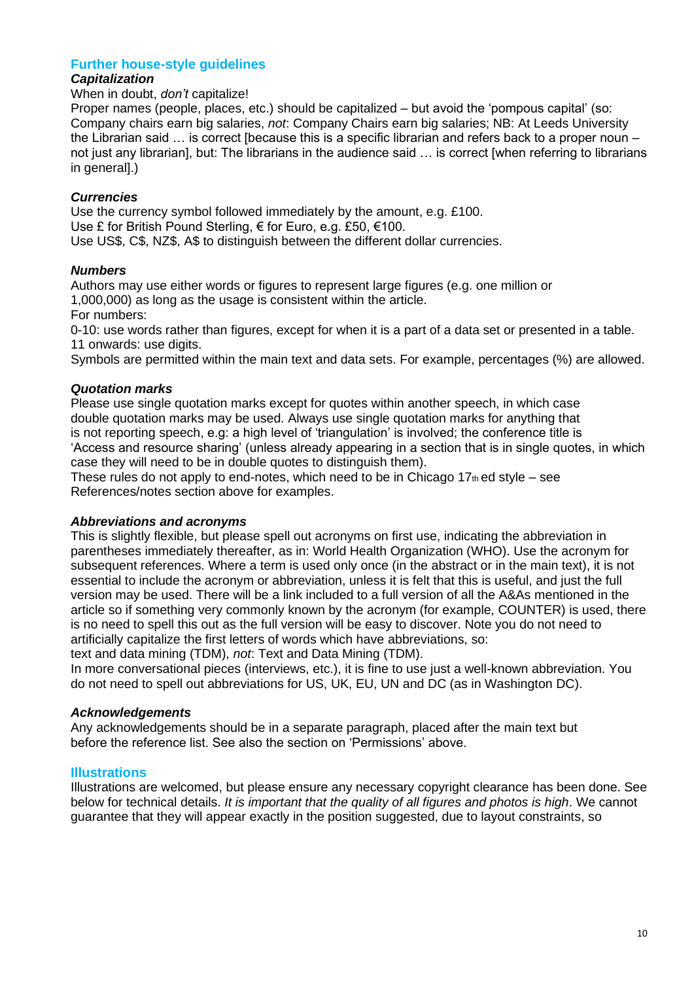# **Further house-style guidelines**

# *Capitalization*

#### When in doubt, *don't* capitalize!

Proper names (people, places, etc.) should be capitalized – but avoid the 'pompous capital' (so: Company chairs earn big salaries, *not*: Company Chairs earn big salaries; NB: At Leeds University the Librarian said … is correct [because this is a specific librarian and refers back to a proper noun – not just any librarian], but: The librarians in the audience said … is correct [when referring to librarians in general].)

# *Currencies*

Use the currency symbol followed immediately by the amount, e.g. £100. Use £ for British Pound Sterling, € for Euro, e.g. £50, €100. Use US\$, C\$, NZ\$, A\$ to distinguish between the different dollar currencies.

# *Numbers*

Authors may use either words or figures to represent large figures (e.g. one million or 1,000,000) as long as the usage is consistent within the article. For numbers:

0-10: use words rather than figures, except for when it is a part of a data set or presented in a table. 11 onwards: use digits.

Symbols are permitted within the main text and data sets. For example, percentages (%) are allowed.

# *Quotation marks*

Please use single quotation marks except for quotes within another speech, in which case double quotation marks may be used. Always use single quotation marks for anything that is not reporting speech, e.g: a high level of 'triangulation' is involved; the conference title is 'Access and resource sharing' (unless already appearing in a section that is in single quotes, in which case they will need to be in double quotes to distinguish them).

These rules do not apply to end-notes, which need to be in Chicago  $17<sub>th</sub>$ ed style – see References/notes section above for examples.

#### *Abbreviations and acronyms*

This is slightly flexible, but please spell out acronyms on first use, indicating the abbreviation in parentheses immediately thereafter, as in: World Health Organization (WHO). Use the acronym for subsequent references. Where a term is used only once (in the abstract or in the main text), it is not essential to include the acronym or abbreviation, unless it is felt that this is useful, and just the full version may be used. There will be a link included to a full version of all the A&As mentioned in the article so if something very commonly known by the acronym (for example, COUNTER) is used, there is no need to spell this out as the full version will be easy to discover. Note you do not need to artificially capitalize the first letters of words which have abbreviations, so:

text and data mining (TDM), *not*: Text and Data Mining (TDM).

In more conversational pieces (interviews, etc.), it is fine to use just a well-known abbreviation. You do not need to spell out abbreviations for US, UK, EU, UN and DC (as in Washington DC).

#### *Acknowledgements*

Any acknowledgements should be in a separate paragraph, placed after the main text but before the reference list. See also the section on 'Permissions' above.

#### **Illustrations**

Illustrations are welcomed, but please ensure any necessary copyright clearance has been done. See below for technical details. *It is important that the quality of all figures and photos is high*. We cannot guarantee that they will appear exactly in the position suggested, due to layout constraints, so